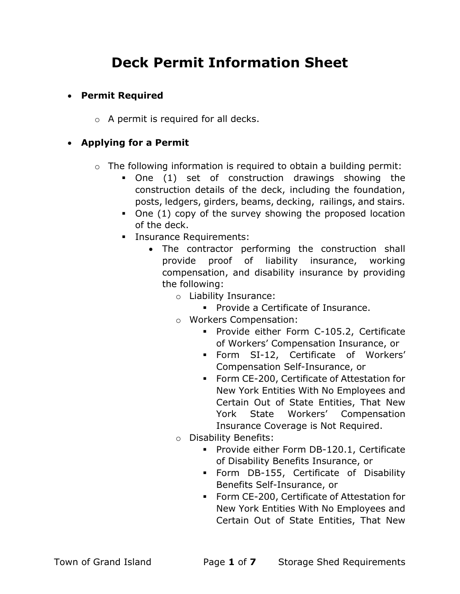# Deck Permit Information Sheet

# Permit Required

o A permit is required for all decks.

## Applying for a Permit

- $\circ$  The following information is required to obtain a building permit:
	- One (1) set of construction drawings showing the construction details of the deck, including the foundation, posts, ledgers, girders, beams, decking, railings, and stairs.
	- One (1) copy of the survey showing the proposed location of the deck.
	- **Insurance Requirements:** 
		- The contractor performing the construction shall provide proof of liability insurance, working compensation, and disability insurance by providing the following:
			- o Liability Insurance:
				- **Provide a Certificate of Insurance.**
			- o Workers Compensation:
				- **Provide either Form C-105.2, Certificate** of Workers' Compensation Insurance, or
				- Form SI-12, Certificate of Workers' Compensation Self-Insurance, or
				- Form CE-200, Certificate of Attestation for New York Entities With No Employees and Certain Out of State Entities, That New York State Workers' Compensation Insurance Coverage is Not Required.
			- o Disability Benefits:
				- **Provide either Form DB-120.1, Certificate** of Disability Benefits Insurance, or
				- Form DB-155, Certificate of Disability Benefits Self-Insurance, or
				- Form CE-200, Certificate of Attestation for New York Entities With No Employees and Certain Out of State Entities, That New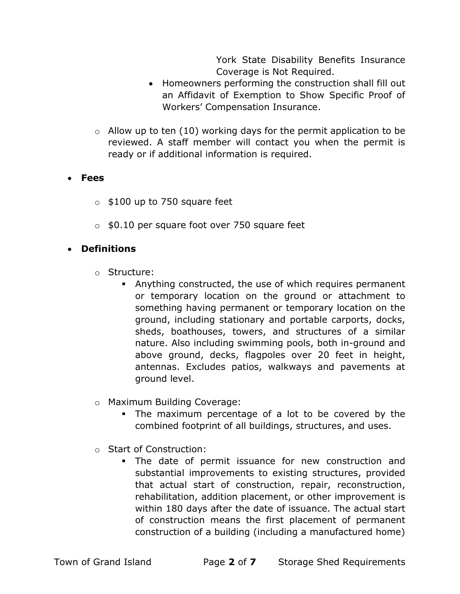York State Disability Benefits Insurance Coverage is Not Required.

- Homeowners performing the construction shall fill out an Affidavit of Exemption to Show Specific Proof of Workers' Compensation Insurance.
- $\circ$  Allow up to ten (10) working days for the permit application to be reviewed. A staff member will contact you when the permit is ready or if additional information is required.

#### Fees

- $\circ$  \$100 up to 750 square feet
- $\circ$  \$0.10 per square foot over 750 square feet

## Definitions

- o Structure:
	- Anything constructed, the use of which requires permanent or temporary location on the ground or attachment to something having permanent or temporary location on the ground, including stationary and portable carports, docks, sheds, boathouses, towers, and structures of a similar nature. Also including swimming pools, both in-ground and above ground, decks, flagpoles over 20 feet in height, antennas. Excludes patios, walkways and pavements at ground level.
- o Maximum Building Coverage:
	- The maximum percentage of a lot to be covered by the combined footprint of all buildings, structures, and uses.
- o Start of Construction:
	- The date of permit issuance for new construction and substantial improvements to existing structures, provided that actual start of construction, repair, reconstruction, rehabilitation, addition placement, or other improvement is within 180 days after the date of issuance. The actual start of construction means the first placement of permanent construction of a building (including a manufactured home)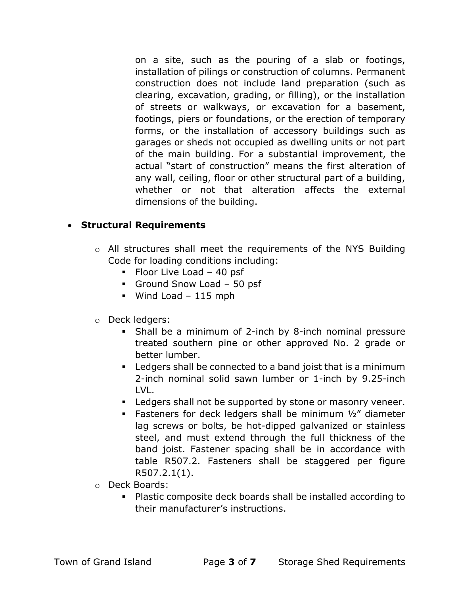on a site, such as the pouring of a slab or footings, installation of pilings or construction of columns. Permanent construction does not include land preparation (such as clearing, excavation, grading, or filling), or the installation of streets or walkways, or excavation for a basement, footings, piers or foundations, or the erection of temporary forms, or the installation of accessory buildings such as garages or sheds not occupied as dwelling units or not part of the main building. For a substantial improvement, the actual "start of construction" means the first alteration of any wall, ceiling, floor or other structural part of a building, whether or not that alteration affects the external dimensions of the building.

## Structural Requirements

- o All structures shall meet the requirements of the NYS Building Code for loading conditions including:
	- $\blacksquare$  Floor Live Load 40 psf
	- Ground Snow Load 50 psf
	- $W$ ind Load 115 mph
- o Deck ledgers:
	- Shall be a minimum of 2-inch by 8-inch nominal pressure treated southern pine or other approved No. 2 grade or better lumber.
	- Ledgers shall be connected to a band joist that is a minimum 2-inch nominal solid sawn lumber or 1-inch by 9.25-inch LVL.
	- **EXECT** Ledgers shall not be supported by stone or masonry veneer.
	- Fasteners for deck ledgers shall be minimum 1/2" diameter lag screws or bolts, be hot-dipped galvanized or stainless steel, and must extend through the full thickness of the band joist. Fastener spacing shall be in accordance with table R507.2. Fasteners shall be staggered per figure R507.2.1(1).
- o Deck Boards:
	- Plastic composite deck boards shall be installed according to their manufacturer's instructions.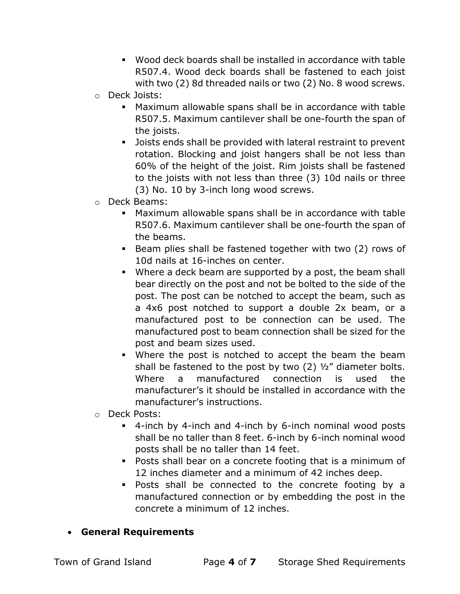- Wood deck boards shall be installed in accordance with table R507.4. Wood deck boards shall be fastened to each joist with two (2) 8d threaded nails or two (2) No. 8 wood screws.
- o Deck Joists:
	- Maximum allowable spans shall be in accordance with table R507.5. Maximum cantilever shall be one-fourth the span of the joists.
	- Joists ends shall be provided with lateral restraint to prevent rotation. Blocking and joist hangers shall be not less than 60% of the height of the joist. Rim joists shall be fastened to the joists with not less than three (3) 10d nails or three (3) No. 10 by 3-inch long wood screws.
- o Deck Beams:
	- Maximum allowable spans shall be in accordance with table R507.6. Maximum cantilever shall be one-fourth the span of the beams.
	- Beam plies shall be fastened together with two (2) rows of 10d nails at 16-inches on center.
	- Where a deck beam are supported by a post, the beam shall bear directly on the post and not be bolted to the side of the post. The post can be notched to accept the beam, such as a 4x6 post notched to support a double 2x beam, or a manufactured post to be connection can be used. The manufactured post to beam connection shall be sized for the post and beam sizes used.
	- Where the post is notched to accept the beam the beam shall be fastened to the post by two  $(2)$   $\frac{1}{2}$ " diameter bolts. Where a manufactured connection is used the manufacturer's it should be installed in accordance with the manufacturer's instructions.
- o Deck Posts:
	- 4-inch by 4-inch and 4-inch by 6-inch nominal wood posts shall be no taller than 8 feet. 6-inch by 6-inch nominal wood posts shall be no taller than 14 feet.
	- Posts shall bear on a concrete footing that is a minimum of 12 inches diameter and a minimum of 42 inches deep.
	- Posts shall be connected to the concrete footing by a manufactured connection or by embedding the post in the concrete a minimum of 12 inches.
- General Requirements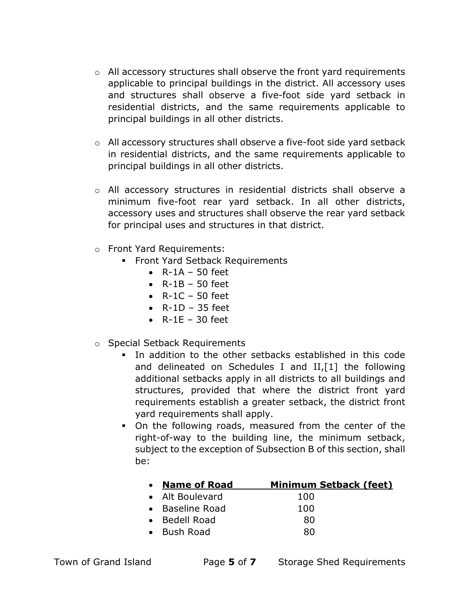- $\circ$  All accessory structures shall observe the front yard requirements applicable to principal buildings in the district. All accessory uses and structures shall observe a five-foot side yard setback in residential districts, and the same requirements applicable to principal buildings in all other districts.
- $\circ$  All accessory structures shall observe a five-foot side yard setback in residential districts, and the same requirements applicable to principal buildings in all other districts.
- o All accessory structures in residential districts shall observe a minimum five-foot rear yard setback. In all other districts, accessory uses and structures shall observe the rear yard setback for principal uses and structures in that district.
- o Front Yard Requirements:
	- Front Yard Setback Requirements
		- $\bullet$  R-1A 50 feet
		- $\bullet$  R-1B 50 feet
		- $\bullet$  R-1C 50 feet
		- $\bullet$  R-1D 35 feet
		- $\bullet$  R-1E 30 feet
- o Special Setback Requirements
	- In addition to the other setbacks established in this code and delineated on Schedules I and II,[1] the following additional setbacks apply in all districts to all buildings and structures, provided that where the district front yard requirements establish a greater setback, the district front yard requirements shall apply.
	- On the following roads, measured from the center of the right-of-way to the building line, the minimum setback, subject to the exception of Subsection B of this section, shall be:

| • Name of Road  | <b>Minimum Setback (feet)</b> |
|-----------------|-------------------------------|
| • Alt Boulevard | 100                           |
| • Baseline Road | 100                           |
| • Bedell Road   | 80                            |
| • Bush Road     | 80                            |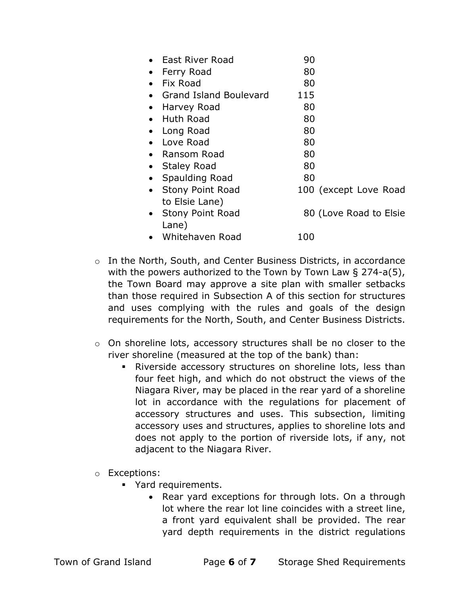| East River Road                      | 90                     |
|--------------------------------------|------------------------|
| Ferry Road                           | 80                     |
| Fix Road                             | 80                     |
| <b>Grand Island Boulevard</b>        | 115                    |
| Harvey Road                          | 80                     |
| <b>Huth Road</b>                     | 80                     |
| Long Road                            | 80                     |
| Love Road                            | 80                     |
| Ransom Road<br>$\bullet$             | 80                     |
| <b>Staley Road</b>                   | 80                     |
| Spaulding Road<br>$\bullet$          | 80                     |
| <b>Stony Point Road</b><br>$\bullet$ | 100 (except Love Road  |
| to Elsie Lane)                       |                        |
| <b>Stony Point Road</b><br>$\bullet$ | 80 (Love Road to Elsie |
| Lane)                                |                        |
| Whitehaven Road                      | 100                    |

- o In the North, South, and Center Business Districts, in accordance with the powers authorized to the Town by Town Law § 274-a(5), the Town Board may approve a site plan with smaller setbacks than those required in Subsection A of this section for structures and uses complying with the rules and goals of the design requirements for the North, South, and Center Business Districts.
- o On shoreline lots, accessory structures shall be no closer to the river shoreline (measured at the top of the bank) than:
	- Riverside accessory structures on shoreline lots, less than four feet high, and which do not obstruct the views of the Niagara River, may be placed in the rear yard of a shoreline lot in accordance with the regulations for placement of accessory structures and uses. This subsection, limiting accessory uses and structures, applies to shoreline lots and does not apply to the portion of riverside lots, if any, not adjacent to the Niagara River.
- o Exceptions:
	- Yard requirements.
		- Rear yard exceptions for through lots. On a through lot where the rear lot line coincides with a street line, a front yard equivalent shall be provided. The rear yard depth requirements in the district regulations